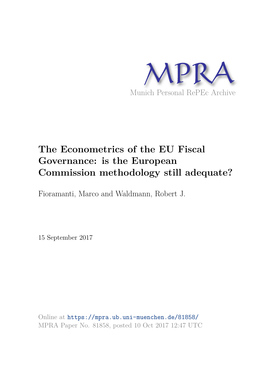

# **The Econometrics of the EU Fiscal Governance: is the European Commission methodology still adequate?**

Fioramanti, Marco and Waldmann, Robert J.

15 September 2017

Online at https://mpra.ub.uni-muenchen.de/81858/ MPRA Paper No. 81858, posted 10 Oct 2017 12:47 UTC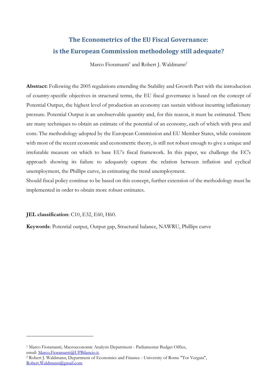# The Econometrics of the EU Fiscal Governance: is the European Commission methodology still adequate?

Marco Fioramanti<sup>1</sup> and Robert J. Waldmann<sup>2</sup>

**Abstract:** Following the 2005 regulations emending the Stability and Growth Pact with the introduction of country-specific objectives in structural terms, the EU fiscal governance is based on the concept of Potential Output, the highest level of production an economy can sustain without incurring inflationary pressure. Potential Output is an unobservable quantity and, for this reason, it must be estimated. There are many techniques to obtain an estimate of the potential of an economy, each of which with pros and cons. The methodology adopted by the European Commission and EU Member States, while consistent with most of the recent economic and econometric theory, is still not robust enough to give a unique and irrefutable measure on which to base EU's fiscal framework. In this paper, we challenge the EC's approach showing its failure to adequately capture the relation between inflation and cyclical unemployment, the Phillips curve, in estimating the trend unemployment.

Should fiscal policy continue to be based on this concept, further extension of the methodology must be implemented in order to obtain more robust estimates.

JEL classification: C10, E32, E60, H60.

Keywords: Potential output, Output gap, Structural balance, NAWRU, Phillips curve

<sup>&</sup>lt;sup>1</sup> Marco Fioramanti, Macroeconomic Analysis Department - Parliamentar Budget Office, email: Marco.Fioramanti@UPBilancio.it.

<sup>&</sup>lt;sup>2</sup> Robert J. Waldmann, Department of Economics and Finance - University of Rome "Tor Vergata", Robert.Waldmann@gmail.com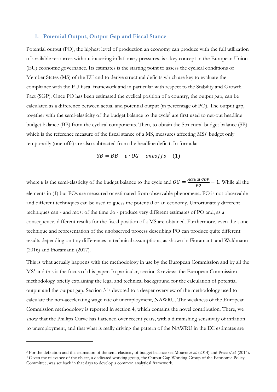#### 1. Potential Output, Output Gap and Fiscal Stance

Potential output (PO), the highest level of production an economy can produce with the full utilization of available resources without incurring inflationary pressures, is a key concept in the European Union (EU) economic governance. Its estimates is the starting point to assess the cyclical conditions of Member States (MS) of the EU and to derive structural deficits which are key to evaluate the compliance with the EU fiscal framework and in particular with respect to the Stability and Growth Pact (SGP). Once PO has been estimated the cyclical position of a country, the output gap, can be calculated as a difference between actual and potential output (in percentage of PO). The output gap, together with the semi-elasticity of the budget balance to the cycle<sup>3</sup> are first used to net-out headline budget balance (BB) from the cyclical components. Then, to obtain the Structural budget balance (SB) which is the reference measure of the fiscal stance of a MS, measures affecting MSs' budget only temporarily (one-offs) are also subtracted from the headline deficit. In formula:

$$
SB = BB - \varepsilon \cdot OG - oneoffs \quad (1)
$$

where  $\varepsilon$  is the semi-elasticity of the budget balance to the cycle and  $\theta G = \frac{Actual GDP}{PQ} - 1$ . While all the elements in (1) but POs are measured or estimated from observable phenomena. PO is not observable and different techniques can be used to guess the potential of an economy. Unfortunately different techniques can - and most of the time do - produce very different estimates of PO and, as a consequence, different results for the fiscal position of a MS are obtained. Furthermore, even the same technique and representation of the unobserved process describing PO can produce quite different results depending on tiny differences in technical assumptions, as shown in Fioramanti and Waldmann  $(2016)$  and Fioramanti  $(2017)$ .

This is what actually happens with the methodology in use by the European Commission and by all the  $MS<sup>4</sup>$  and this is the focus of this paper. In particular, section 2 reviews the European Commission methodology briefly explaining the legal and technical background for the calculation of potential output and the output gap. Section 3 is devoted to a deeper overview of the methodology used to calculate the non-accelerating wage rate of unemployment, NAWRU. The weakness of the European Commission methodology is reported in section 4, which contains the novel contribution. There, we show that the Phillips Curve has flattened over recent years, with a diminishing sensitivity of inflation to unemployment, and that what is really driving the pattern of the NAWRU in the EC estimates are

<sup>&</sup>lt;sup>3</sup> For the definition and the estimation of the semi-elasticity of budget balance see Mourre et al. (2014) and Price et al. (2014). <sup>4</sup> Given the relevance of the object, a dedicated working group, the Output Gap Working Group of the Economic Policy Committee, was set back in that days to develop a common analytical framework.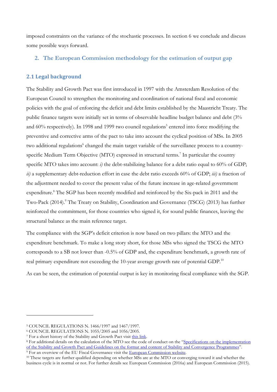imposed constraints on the variance of the stochastic processes. In section 6 we conclude and discuss some possible ways forward.

#### 2. The European Commission methodology for the estimation of output gap

#### 2.1 Legal background

The Stability and Growth Pact was first introduced in 1997 with the Amsterdam Resolution of the European Council to strengthen the monitoring and coordination of national fiscal and economic policies with the goal of enforcing the deficit and debt limits established by the Maastricht Treaty. The public finance targets were initially set in terms of observable headline budget balance and debt (3% and 60% respectively). In 1998 and 1999 two council regulations<sup>5</sup> entered into force modifying the preventive and corrective arms of the pact to take into account the cyclical position of MSs. In 2005 two additional regulations<sup>6</sup> changed the main target variable of the surveillance process to a countryspecific Medium Term Objective (MTO) expressed in structural terms.<sup>7</sup> In particular the country specific MTO takes into account: i) the debt-stabilizing balance for a debt ratio equal to  $60\%$  of GDP; ii) a supplementary debt-reduction effort in case the debt ratio exceeds 60% of GDP; iii) a fraction of the adjustment needed to cover the present value of the future increase in age-related government expenditure.<sup>8</sup> The SGP has been recently modified and reinforced by the Six-pack in 2011 and the Two-Pack (2014).<sup>9</sup> The Treaty on Stability, Coordination and Governance (TSCG) (2013) has further reinforced the commitment, for those countries who signed it, for sound public finances, leaving the structural balance as the main reference target.

The compliance with the SGP's deficit criterion is now based on two pillars: the MTO and the expenditure benchmark. To make a long story short, for those MSs who signed the TSCG the MTO corresponds to a SB not lower than -0.5% of GDP and, the expenditure benchmark, a growth rate of real primary expenditure not exceeding the 10-year average growth rate of potential GDP.<sup>10</sup>

As can be seen, the estimation of potential output is key in monitoring fiscal compliance with the SGP.

<sup>&</sup>lt;sup>5</sup> COUNCIL REGULATIONS N. 1466/1997 and 1467/1997.

<sup>&</sup>lt;sup>6</sup> COUNCIL REGULATIONS N. 1055/2005 and 1056/2005.

<sup>&</sup>lt;sup>7</sup> For a short history of the Stability and Growth Pact visit this link.

<sup>&</sup>lt;sup>8</sup> For additional details on the calculation of the MTO see the code of conduct on the "Specifications on the implementation of the Stability and Growth Pact and Guidelines on the format and content of Stability and Convergence Programmes". <sup>9</sup> For an overview of the EU Fiscal Governance visit the European Commission website.

<sup>&</sup>lt;sup>10</sup> These targets are further qualified depending on whether MSs are at the MTO or converging toward it and whether the

business cycle is in normal or not. For further details see European Commission (2016a) and European Commission (2015).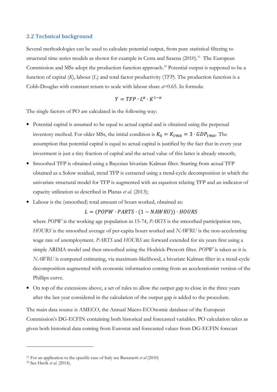#### **2.2 Technical background**

Several methodologies can be used to calculate potential output, from pure statistical filtering to structural time series models as shown for example in Cerra and Saxena (2010).<sup>11</sup> The European Commission and MSs adopt the production function approach.<sup>12</sup> Potential output is supposed to be a function of capital  $(K)$ , labour  $(L)$  and total factor productivity (TFP). The production function is a Cobb-Douglas with constant return to scale with labour share  $a=0.65$ . In formula:

$$
Y = TFP \cdot L^{\alpha} \cdot K^{1-\alpha}
$$

The single factors of PO are calculated in the following way:

- Potential capital is assumed to be equal to actual capital and is obtained using the perpetual inventory method. For older MSs, the initial condition is  $K_0 = K_{1960} = 3 \cdot GDP_{1960}$ . The assumption that potential capital is equal to actual capital is justified by the fact that in every year investment is just a tiny fraction of capital and the actual value of this latter is already smooth;
- Smoothed TFP is obtained using a Bayesian bivariate Kalman filter. Starting from actual TFP obtained as a Solow residual, trend TFP is extracted using a trend-cycle decomposition in which the univariate structural model for TFP is augmented with an equation relating TFP and an indicator of capacity utilization as described in Planas et al. (2013);
- Labour is the (smoothed) total amount of hours worked, obtained as:

#### $L = (POPW \cdot PARTS \cdot (1 - NAWRU)) \cdot HOURS$

where POPW is the working age population in 15-74, PARTS is the smoothed participation rate, HOURS is the smoothed average of per-capita hours worked and NAWRU is the non-accelerating wage rate of unemployment. PARTS and HOURS are forward extended for six years first using a simple ARIMA model and then smoothed using the Hodrick-Prescott filter. POPW is taken as it is. NAWRU is computed estimating, via maximum-likelihood, a bivariate Kalman filter in a trend-cycle decomposition augmented with economic information coming from an accelerationist version of the Phillips curve.

• On top of the extensions above, a set of rules to allow the output gap to close in the three years after the last year considered in the calculation of the output gap is added to the procedure.

The main data source is AMECO, the Annual Macro-ECOnomic database of the European Commission's DG-ECFIN containing both historical and forecasted variables. PO calculation takes as given both historical data coming from Eurostat and forecasted values from DG-ECFIN forecast

<sup>&</sup>lt;sup>11</sup> For an application to the specific case of Italy see Bassanetti et al  $(2010)$ 

<sup>&</sup>lt;sup>12</sup> See Havik et al. (2014).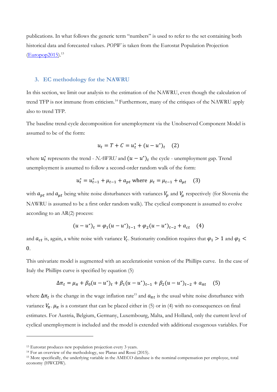publications. In what follows the generic term "numbers" is used to refer to the set containing both historical data and forecasted values. POPW is taken from the Eurostat Population Projection  $(Euro 2015).$ <sup>13</sup>

#### 3. EC methodology for the NAWRU

In this section, we limit our analysis to the estimation of the NAWRU, even though the calculation of trend TFP is not immune from criticism.<sup>14</sup> Furthermore, many of the critiques of the NAWRU apply also to trend TFP.

The baseline trend-cycle decomposition for unemployment via the Unobserved Component Model is assumed to be of the form:

$$
u_t = T + C = u_t^* + (u - u^*)_t \quad (2)
$$

where  $u_t^*$  represents the trend - NAWRU and  $(u - u^*)_t$  the cycle - unemployment gap. Trend unemployment is assumed to follow a second-order random walk of the form:

$$
u_t^* = u_{t-1}^* + \mu_{t-1} + a_{pt} \text{ where } \mu_t = \mu_{t-1} + a_{\mu t} \quad (3)
$$

with  $a_{pt}$  and  $a_{\mu t}$  being white noise disturbances with variances  $V_p$  and  $V_{\mu}$  respectively (for Slovenia the NAWRU is assumed to be a first order random walk). The cyclical component is assumed to evolve according to an  $AR(2)$  process:

$$
(u - u^*)_t = \varphi_1 (u - u^*)_{t-1} + \varphi_2 (u - u^*)_{t-2} + a_{ct} \quad (4)
$$

and  $a_{ct}$  is, again, a white noise with variance  $V_c$ . Stationarity condition requires that  $\varphi_1 > 1$  and  $\varphi_2 <$  $\overline{0}$ .

This univariate model is augmented with an accelerationist version of the Phillips curve. In the case of Italy the Phillips curve is specified by equation (5)

$$
\Delta \pi_t = \mu_\pi + \beta_0 (u - u^*)_t + \beta_1 (u - u^*)_t_{t-1} + \beta_2 (u - u^*)_{t-2} + a_{\pi t} \quad (5)
$$

where  $\Delta \pi_t$  is the change in the wage inflation rate<sup>15</sup> and  $a_{\pi t}$  is the usual white noise disturbance with variance  $V_{\pi}$ .  $\mu_{\pi}$  is a constant that can be placed either in (5) or in (4) with no consequences on final estimates. For Austria, Belgium, Germany, Luxembourg, Malta, and Holland, only the current level of cyclical unemployment is included and the model is extended with additional exogenous variables. For

<sup>&</sup>lt;sup>13</sup> Eurostat produces new population projection every 3 years.

<sup>&</sup>lt;sup>14</sup> For an overview of the methodology, see Planas and Rossi (2015).

<sup>&</sup>lt;sup>15</sup> More specifically, the underlying variable in the AMECO database is the nominal compensation per employee, total economy (HWCDW).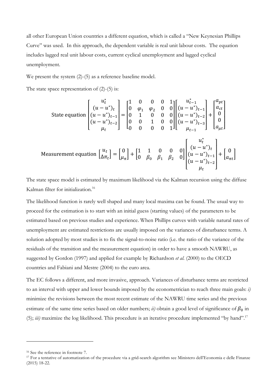all other European Union countries a different equation, which is called a "New Keynesian Phillips Curve" was used. In this approach, the dependent variable is real unit labour costs. The equation includes lagged real unit labour costs, current cyclical unemployment and lagged cyclical unemployment.

We present the system  $(2)$ - $(5)$  as a reference baseline model.

The state space representation of  $(2)-(5)$  is:

State equation

\n
$$
\begin{bmatrix}\nu_t^* \\
(u - u^*)_t \\
(u - u^*)_t^{-1} \\
(u - u^*)_t^{-2}\n\end{bmatrix} =\n\begin{bmatrix}\n1 & 0 & 0 & 0 & 1 \\
0 & \varphi_1 & \varphi_2 & 0 & 0 \\
0 & 1 & 0 & 0 & 0 \\
0 & 0 & 1 & 0 & 0 \\
0 & 0 & 0 & 0 & 1\n\end{bmatrix}\n\begin{bmatrix}\nu_{t-1}^* \\
(u - u^*)_t^{-1} \\
(u - u^*)_t^{-2} \\
(u - u^*)_t^{-3}\n\end{bmatrix} +\n\begin{bmatrix}\na_{rt} \\
0 \\
0 \\
a_{\mu t}\n\end{bmatrix}
$$
\nMeasurement equation

\n
$$
\begin{bmatrix}\nu_t \\
\Delta \pi_t\n\end{bmatrix} =\n\begin{bmatrix}\n0 \\
\mu_{\pi}\n\end{bmatrix} +\n\begin{bmatrix}\n1 & 1 & 0 & 0 & 0 \\
0 & \beta_0 & \beta_1 & \beta_2 & 0\n\end{bmatrix}\n\begin{bmatrix}\nu_t \\
(u - u^*)_t \\
(u - u^*)_t \\
(u - u^*)_t - 1 \\
(u - u^*)_t - 1\n\end{bmatrix} +\n\begin{bmatrix}\n0 \\
\alpha_{\pi t}\n\end{bmatrix}
$$
\nMeasurement equation

The state space model is estimated by maximum likelihood via the Kalman recursion using the diffuse Kalman filter for initialization.<sup>16</sup>

The likelihood function is rarely well shaped and many local maxima can be found. The usual way to proceed for the estimation is to start with an initial guess (starting values) of the parameters to be estimated based on previous studies and experience. When Phillips curves with variable natural rates of unemployment are estimated restrictions are usually imposed on the variances of disturbance terms. A solution adopted by most studies is to fix the signal-to-noise ratio (i.e. the ratio of the variance of the residuals of the transition and the measurement equation) in order to have a smooth NAWRU, as suggested by Gordon (1997) and applied for example by Richardson *et al.* (2000) to the OECD countries and Fabiani and Mestre (2004) to the euro area.

The EC follows a different, and more invasive, approach. Variances of disturbance terms are restricted to an interval with upper and lower bounds imposed by the econometrician to reach three main goals: i) minimize the revisions between the most recent estimate of the NAWRU time series and the previous estimate of the same time series based on older numbers; ii) obtain a good level of significance of  $\beta_0$  in (5); *iii*) maximize the log likelihood. This procedure is an iterative procedure implemented "by hand".<sup>17</sup>

<sup>&</sup>lt;sup>16</sup> See the reference in footnote 7.

<sup>&</sup>lt;sup>17</sup> For a tentative of automatization of the procedure via a grid-search algorithm see Ministero dell'Economia e delle Finanze  $(2015)$  18-22.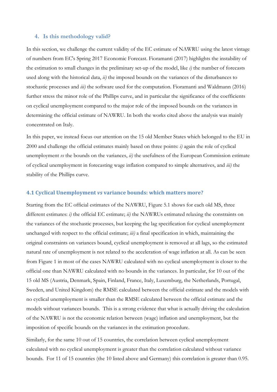#### 4. Is this methodology valid?

In this section, we challenge the current validity of the EC estimate of NAWRU using the latest vintage of numbers from EC's Spring 2017 Economic Forecast. Fioramanti (2017) highlights the instability of the estimation to small changes in the preliminary set-up of the model, like  $i$ ) the number of forecasts used along with the historical data, ii) the imposed bounds on the variances of the disturbances to stochastic processes and *iii*) the software used for the computation. Fioramanti and Waldmann (2016) further stress the minor role of the Phillips curve, and in particular the significance of the coefficients on cyclical unemployment compared to the major role of the imposed bounds on the variances in determining the official estimate of NAWRU. In both the works cited above the analysis was mainly concentrated on Italy.

In this paper, we instead focus our attention on the 15 old Member States which belonged to the EU in  $2000$  and challenge the official estimates mainly based on three points: *i*) again the role of cyclical unemployment  $\nu s$  the bounds on the variances,  $ii$ ) the usefulness of the European Commission estimate of cyclical unemployment in forecasting wage inflation compared to simple alternatives, and iii) the stability of the Phillips curve.

#### 4.1 Cyclical Unemployment vs variance bounds: which matters more?

Starting from the EC official estimates of the NAWRU, Figure 5.1 shows for each old MS, three different estimates: i) the official EC estimate; ii) the NAWRUs estimated relaxing the constraints on the variances of the stochastic processes, but keeping the lag specification for cyclical unemployment unchanged with respect to the official estimate; *iii*) a final specification in which, maintaining the original constraints on variances bound, cyclical unemployment is removed at all lags, so the estimated natural rate of unemployment is not related to the acceleration of wage inflation at all. As can be seen from Figure 1 in most of the cases NAWRU calculated with no cyclical unemployment is closer to the official one than NAWRU calculated with no bounds in the variances. In particular, for 10 out of the 15 old MS (Austria, Denmark, Spain, Finland, France, Italy, Luxemburg, the Netherlands, Portugal, Sweden, and United Kingdom) the RMSE calculated between the official estimate and the models with no cyclical unemployment is smaller than the RMSE calculated between the official estimate and the models without variances bounds. This is a strong evidence that what is actually driving the calculation of the NAWRU is not the economic relation between (wage) inflation and unemployment, but the imposition of specific bounds on the variances in the estimation procedure.

Similarly, for the same 10 out of 15 countries, the correlation between cyclical unemployment calculated with no cyclical unemployment is greater than the correlation calculated without variance bounds. For 11 of 15 countries (the 10 listed above and Germany) this correlation is greater than 0.95.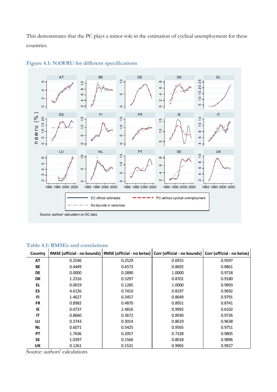This demonstrates that the PC plays a minor role in the estimation of cyclical unemployment for these countries.



#### Figure 4.1: NAWRU for different specifications

#### Table 4.1: RMSEs and correlations

| Country   | RMSE (official - no bounds)   RMSE (official - no betas)   Corr (official - no bounds) |        |        | Corr (official - no betas) |
|-----------|----------------------------------------------------------------------------------------|--------|--------|----------------------------|
| <b>AT</b> | 0.2546                                                                                 | 0.2529 | 0.6915 | 0.9597                     |
| <b>BE</b> | 0.4449                                                                                 | 0.6573 | 0.8692 | 0.8861                     |
| <b>DE</b> | 0.0000                                                                                 | 0.2890 | 1.0000 | 0.9718                     |
| DK        | 1.2316                                                                                 | 0.5297 | 0.8701 | 0.9180                     |
| EL.       | 0.0019                                                                                 | 0.1285 | 1.0000 | 0.9993                     |
| ES        | 4.6126                                                                                 | 0.7410 | 0.8197 | 0.9692                     |
| <b>FI</b> | 1.4627                                                                                 | 0.3457 | 0.8649 | 0.9791                     |
| <b>FR</b> | 0.8982                                                                                 | 0.4870 | 0.8951 | 0.8741                     |
| IE        | 0.0737                                                                                 | 2.4816 | 0.9992 | 0.6102                     |
| IT        | 0.8660                                                                                 | 0.3672 | 0.8930 | 0.9726                     |
| LU        | 0.3743                                                                                 | 0.3014 | 0.8619 | 0.9638                     |
| <b>NL</b> | 0.6071                                                                                 | 0.5425 | 0.9565 | 0.9751                     |
| РT        | 1.7636                                                                                 | 0.2057 | 0.7328 | 0.9805                     |
| <b>SE</b> | 1.0397                                                                                 | 0.1566 | 0.8018 | 0.9896                     |
| UΚ        | 0.1261                                                                                 | 0.1531 | 0.9965 | 0.9927                     |

Source: authors' calculations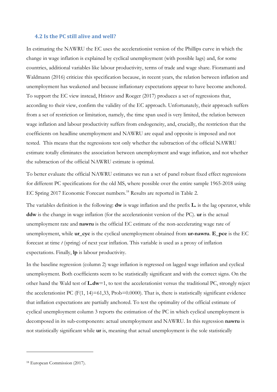#### 4.2 Is the PC still alive and well?

In estimating the NAWRU the EC uses the accelerationist version of the Phillips curve in which the change in wage inflation is explained by cyclical unemployment (with possible lags) and, for some countries, additional variables like labour productivity, terms of trade and wage share. Fioramanti and Waldmann (2016) criticize this specification because, in recent years, the relation between inflation and unemployment has weakened and because inflationary expectations appear to have become anchored. To support the EC view instead, Hristov and Roeger (2017) produces a set of regressions that, according to their view, confirm the validity of the EC approach. Unfortunately, their approach suffers from a set of restriction or limitation, namely, the time span used is very limited, the relation between wage inflation and labour productivity suffers from endogeneity, and, crucially, the restriction that the coefficients on headline unemployment and NAWRU are equal and opposite is imposed and not tested. This means that the regressions test only whether the subtraction of the official NAWRU estimate totally eliminates the association between unemployment and wage inflation, and not whether the subtraction of the official NAWRU estimate is optimal.

To better evaluate the official NAWRU estimates we run a set of panel robust fixed effect regressions for different PC specifications for the old MS, where possible over the entire sample 1965-2018 using EC Spring 2017 Economic Forecast numbers.<sup>18</sup> Results are reported in Table 2.

The variables definition is the following:  $dw$  is wage inflation and the prefix  $L$ , is the lag operator, while ddw is the change in wage inflation (for the accelerationist version of the PC). ur is the actual unemployment rate and nawru is the official EC estimate of the non-accelerating wage rate of unemployment, while ur\_cyc is the cyclical unemployment obtained from ur-nawru. E\_pce is the EC forecast at time  $t$  (spring) of next year inflation. This variable is used as a proxy of inflation expectations. Finally, lp is labour productivity.

In the baseline regression (column 2) wage inflation is regressed on lagged wage inflation and cyclical unemployment. Both coefficients seem to be statistically significant and with the correct signs. On the other hand the Wald test of L.dw=1, to test the accelerationist versus the traditional PC, strongly reject the accelerationist PC  $(F(1, 14)=61,33, Prob=0.0000)$ . That is, there is statistically significant evidence that inflation expectations are partially anchored. To test the optimality of the official estimate of cyclical unemployment column 3 reports the estimation of the PC in which cyclical unemployment is decomposed in its sub-components: actual unemployment and NAWRU. In this regression nawru is not statistically significant while **ur** is, meaning that actual unemployment is the sole statistically

<sup>&</sup>lt;sup>18</sup> European Commission (2017).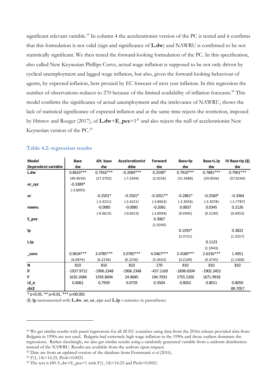significant relevant variable.<sup>19</sup> In column 4 the accelerationist version of the PC is tested and it confirms that this formulation is not valid (sign and significance of **L.dw**) and NAWRU is confirmed to be not statistically significant. We then tested the forward-looking formulation of the PC. In this specification, also called New Keynesian Phillips Curve, actual wage inflation is supposed to be not only driven by cyclical unemployment and lagged wage inflation, but also, given the forward looking behaviour of agents, by expected inflation, here proxied by EC forecast of next year inflation. In this regression the number of observations reduces to 270 because of the limited availability of inflation forecasts.<sup>20</sup> This model confirms the significance of actual unemployment and the irrelevance of NAWRU, shows the lack of statistical significance of expected inflation and at the same time rejects the restriction, imposed by Hristov and Roeger (2017), of **L.dw+E** pce= $1^{21}$  and also rejects the null of accelerationist New Keynesian version of the PC.<sup>22</sup>

| Model              | Base         | Alt. base    | Accelerationist | Forward     | Base+lp      | Base+L.lp    | IV Base+Ip $(§)$ |
|--------------------|--------------|--------------|-----------------|-------------|--------------|--------------|------------------|
| Dependent variable | dw           | dw           | ddw             | dw          | dw           | dw           | dw               |
| L.dw               | $0.8633***$  | $0.7916***$  | $-0.2084***$    | $0.2590*$   | $0.7910***$  | $0.7881***$  | $0.7901***$      |
|                    | (49.4659)    | (27.3702)    | $(-7.2049)$     | (2.9236)    | (31.3688)    | (29.9036)    | (37.0194)        |
| ur_cyc             | $-0.3389*$   |              |                 |             |              |              |                  |
|                    | $(-2.8095)$  |              |                 |             |              |              |                  |
| ur                 |              | $-0.2501*$   | $-0.2501*$      | $-0.2021**$ | $-0.2861*$   | $-0.2560*$   | $-0.3364$        |
|                    |              | $(-2.4221)$  | $(-2.4221)$     | $(-3.8963)$ | $(-2.3058)$  | $(-2.3078)$  | $(-1.7787)$      |
| nawru              |              | $-0.0085$    | $-0.0085$       | $-0.2061$   | 0.0837       | 0.0345       | 0.2126           |
|                    |              | $(-0.0613)$  | $(-0.0613)$     | $(-2.0094)$ | (0.4945)     | (0.2140)     | (0.6953)         |
| E_pce              |              |              |                 | 0.3067      |              |              |                  |
|                    |              |              |                 | (1.9240)    |              |              |                  |
| Ip                 |              |              |                 |             | $0.1595*$    |              | 0.3822           |
|                    |              |              |                 |             | (2.3721)     |              | (1.3257)         |
| L.lp               |              |              |                 |             |              | 0.1123       |                  |
|                    |              |              |                 |             |              | (1.5943)     |                  |
| $\_cons$           | 0.9634 ***   | 3.0785***    | 3.0785***       | 4.5467***   | 2.4180***    | 2.6316***    | 1.4951           |
|                    | (6.0874)     | (6.2236)     | (6.2236)        | (5.3633)    | (4.2109)     | (4.3745)     | (1.1368)         |
| N                  | 810          | 810          | 810             | 270         | 810          | 810          | 810              |
| $\mathbf{II}$      | $-1927.9712$ | $-1906.2348$ | $-1906.2348$    | $-437.1169$ | $-1898.6504$ | $-1902.3452$ |                  |
| F                  | 1635.2684    | 1593.8694    | 24.8685         | 194.7033    | 1755.5202    | 1671.9918    |                  |
| $r2_0$             | 0.8061       | 0.7939       | 0.0759          | 0.3504      | 0.8052       | 0.8011       | 0.8059           |
| chi2               |              |              |                 |             |              |              | 89.7057          |

#### Table 4.2: regression results

\* p<0.05, \*\* p<0.01, \*\*\* p<00.001

 $(\S)$  lp instrumented with **L.dw**, ur, ur cyc and **L.lp** t-statistics in parentheses

<sup>&</sup>lt;sup>19</sup> We get similar results with panel regressions for all 28 EU countries using data from the 2016s release provided data from Bulgaria in 1990s are not used. Bulgaria had extremely high wage inflation in the 1990s and those outliers dominate the regressions. Rather shockingly, we also get similar results using a randomly generated variable from a uniform distribution instead of the NAWRU. Results are available from the authors upon request.

<sup>&</sup>lt;sup>20</sup> Date are from an updated version of the database from Fioramanti et al (2016).

<sup>&</sup>lt;sup>21</sup> F(1, 14)=14.25, Prob=0.0021.

<sup>&</sup>lt;sup>22</sup> The test is H0: L.dw+E\_pce=1 with F(1, 14)=14.25 and Prob=0.0021.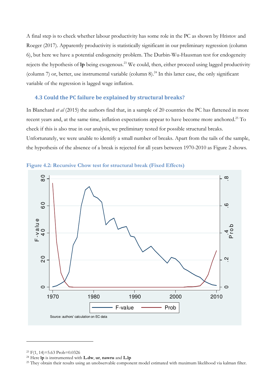A final step is to check whether labour productivity has some role in the PC as shown by Hristov and Roeger (2017). Apparently productivity is statistically significant in our preliminary regression (column 6), but here we have a potential endogeneity problem. The Durbin-Wu-Hausman test for endogeneity rejects the hypothesis of  $lp$  being exogenous.<sup>23</sup> We could, then, either proceed using lagged productivity (column 7) or, better, use instrumental variable (column 8).<sup>24</sup> In this latter case, the only significant variable of the regression is lagged wage inflation.

#### 4.3 Could the PC failure be explained by structural breaks?

In Blanchard et al (2015) the authors find that, in a sample of 20 countries the PC has flattened in more recent years and, at the same time, inflation expectations appear to have become more anchored.<sup>25</sup> To check if this is also true in our analysis, we preliminary tested for possible structural breaks. Unfortunately, we were unable to identify a small number of breaks. Apart from the tails of the sample, the hypothesis of the absence of a break is rejected for all years between 1970-2010 as Figure 2 shows.





<sup>&</sup>lt;sup>23</sup> F(1, 14)=5.63 Prob=0.0326

<sup>&</sup>lt;sup>24</sup> Here lp is instrumented with **L.dw**, ur, nawru and **L.lp** 

<sup>&</sup>lt;sup>25</sup> They obtain their results using an unobservable component model estimated with maximum likelihood via kalman filter.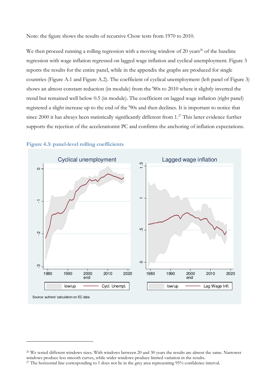Note: the figure shows the results of recursive Chow tests from 1970 to 2010.

We then proceed running a rolling regression with a moving window of 20 years<sup>26</sup> of the baseline regression with wage inflation regressed on lagged wage inflation and cyclical unemployment. Figure 3 reports the results for the entire panel, while in the appendix the graphs are produced for single countries (Figure A.1 and Figure A.2). The coefficient of cyclical unemployment (left panel of Figure 3) shows an almost constant reduction (in module) from the '80s to 2010 where it slightly inverted the trend but remained well below 0.5 (in module). The coefficient on lagged wage inflation (right panel) registered a slight increase up to the end of the '90s and then declines. It is important to notice that since 2000 it has always been statistically significantly different from 1.<sup>27</sup> This latter evidence further supports the rejection of the accelerationist PC and confirms the anchoring of inflation expectations.



#### Figure 4.3: panel-level rolling coefficients

<sup>&</sup>lt;sup>26</sup> We tested different windows sizes. With windows between 20 and 30 years the results are almost the same. Narrower windows produce less smooth curves, while wider windows produce limited variation in the results.

<sup>&</sup>lt;sup>27</sup> The horizontal line corresponding to 1 does not lie in the grey area representing 95% confidence interval.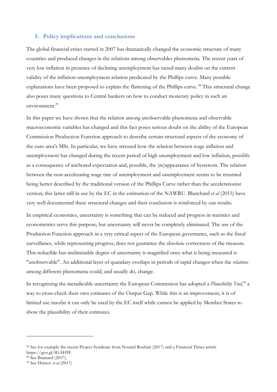#### 5. Policy implications and conclusions

The global financial crises started in 2007 has dramatically changed the economic structure of many countries and produced changes in the relations among observables phenomena. The recent years of very low inflation in presence of declining unemployment has raised many doubts on the current validity of the inflation-unemployment relation predicated by the Phillips curve. Many possible explanations have been proposed to explain the flattening of the Phillips curve.<sup>28</sup> This structural change also poses many questions to Central bankers on how to conduct monetary policy in such an  $environment<sup>29</sup>$ 

In this paper we have shown that the relation among unobservable phenomena and observable macroeconomic variables has changed and this fact poses serious doubt on the ability of the European Commission Production Function approach to describe certain structural aspects of the economy of the euro area's MSs. In particular, we have stressed how the relation between wage inflation and unemployment has changed during the recent period of high unemployment and low inflation, possibly as a consequence of anchored expectation and, possible, the (re)appearance of hysteresis. The relation between the non-accelerating wage rate of unemployment and unemployment seems to be returned being better described by the traditional version of the Phillips Curve rather than the accelerationist version; this latter still in use by the EC in the estimation of the NAWRU. Blanchard *et al* (2015) have very well documented these structural changes and their conclusion is reinforced by our results.

In empirical economics, uncertainty is something that can be reduced and progress in statistics and econometrics serve this purpose; but uncertainty will never be completely eliminated. The use of the Production Function approach in a very critical aspect of the European governance, such as the fiscal surveillance, while representing progress, does not guarantee the absolute correctness of the measure. This reducible-but-ineliminable degree of uncertainty is magnified once what is being measured is "unobservable". An additional layer of quandary overlaps in periods of rapid changes when the *relations* among different phenomena could, and usually do, change.

In recognizing the ineradicable uncertainty the European Commission has adopted a Plausibility Tool,<sup>30</sup> a way to cross check their own estimates of the Output Gap. While this is an improvement, it is of limited use insofar it can only be used by the EC itself while cannot be applied by Member States to show the plausibility of their estimates.

<sup>&</sup>lt;sup>28</sup> See for example the recent Project Syndicate from Nouriel Roubini (2017) and a Financial Times article https://goo.gl/fGAH9F.

<sup>&</sup>lt;sup>29</sup> See Brainard (2017).

<sup>&</sup>lt;sup>30</sup> See Hristov et al (2017)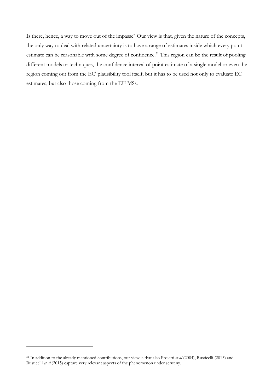Is there, hence, a way to move out of the impasse? Our view is that, given the nature of the concepts, the only way to deal with related uncertainty is to have a range of estimates inside which every point estimate can be reasonable with some degree of confidence.<sup>31</sup> This region can be the result of pooling different models or techniques, the confidence interval of point estimate of a single model or even the region coming out from the EC' plausibility tool itself, but it has to be used not only to evaluate EC estimates, but also those coming from the EU MSs.

<sup>&</sup>lt;sup>31</sup> In addition to the already mentioned contributions, our view is that also Proietti et al (2004), Rusticelli (2015) and Rusticelli et al (2015) capture very relevant aspects of the phenomenon under scrutiny.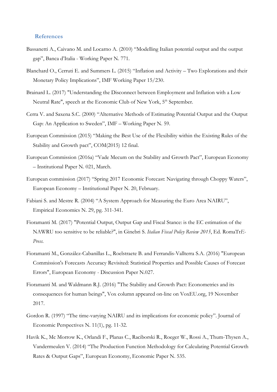#### **References**

- Bassanetti A., Caivano M. and Locarno A. (2010) "Modelling Italian potential output and the output gap", Banca d'Italia - Working Paper N. 771.
- Blanchard O., Cerruti E. and Summers L. (2015) "Inflation and Activity Two Explorations and their Monetary Policy Implications", IMF Working Paper 15/230.
- Brainard L. (2017) "Understanding the Disconnect between Employment and Inflation with a Low Neutral Rate", speech at the Economic Club of New York, 5<sup>th</sup> September.
- Cerra V. and Saxena S.C. (2000) "Alternative Methods of Estimating Potential Output and the Output Gap: An Application to Sweden", IMF - Working Paper N. 59.
- European Commission (2015) "Making the Best Use of the Flexibility within the Existing Rules of the Stability and Growth pact", COM(2015) 12 final.
- European Commission (2016a) "Vade Mecum on the Stability and Growth Pact", European Economy - Institutional Paper N. 021, March.
- European commission (2017) "Spring 2017 Economic Forecast: Navigating through Choppy Waters", European Economy - Institutional Paper N. 20, February.
- Fabiani S. and Mestre R. (2004) "A System Approach for Measuring the Euro Area NAIRU", Empirical Economics N. 29, pg. 311-341.
- Fioramanti M. (2017) "Potential Output, Output Gap and Fiscal Stance: is the EC estimation of the NAWRU too sensitive to be reliable?", in Ginebri S. Italian Fiscal Policy Review 2015, Ed. RomaTrE-Press.
- Fioramanti M., González-Cabanillas L., Roelstraete B. and Ferrandis-Vallterra S.A. (2016) "European Commission's Forecasts Accuracy Revisited: Statistical Properties and Possible Causes of Forecast Errors", European Economy - Discussion Paper N.027.
- Fioramanti M. and Waldmann R.J. (2016) "The Stability and Growth Pact: Econometrics and its consequences for human beings", Vox column appeared on-line on VoxEU.org, 19 November 2017.
- Gordon R. (1997) "The time-varying NAIRU and its implications for economic policy". Journal of Economic Perspectives N. 11(1), pg. 11-32.
- Havik K., Mc Morrow K., Orlandi F., Planas C., Raciborski R., Roeger W., Rossi A., Thum-Thysen A., Vandermeulen V. (2014) "The Production Function Methodology for Calculating Potential Growth Rates & Output Gaps", European Economy, Economic Paper N. 535.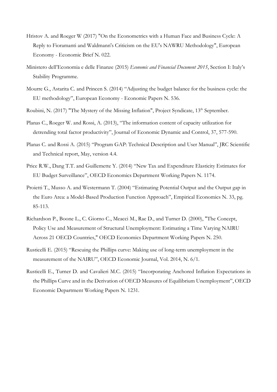- Hristov A. and Roeger W (2017) "On the Econometrics with a Human Face and Business Cycle: A Reply to Fioramanti and Waldmann's Criticism on the EU's NAWRU Methodology", European Economy - Economic Brief N. 022.
- Ministero dell'Economia e delle Finanze (2015) Economic and Financial Document 2015, Section I: Italy's Stability Programme.
- Mourre G., Astarita C. and Princen S. (2014) "Adjusting the budget balance for the business cycle: the EU methodology", European Economy - Economic Papers N. 536.
- Roubini, N. (2017) "The Mystery of the Missing Inflation", Project Syndicate, 13<sup>th</sup> September.
- Planas C., Roeger W. and Rossi, A. (2013), "The information content of capacity utilization for detrending total factor productivity", Journal of Economic Dynamic and Control, 37, 577-590.
- Planas C. and Rossi A. (2015) "Program GAP: Technical Description and User Manual", JRC Scientific and Technical report, May, version 4.4.
- Price R.W., Dang T.T. and Guillemette Y. (2014) "New Tax and Expenditure Elasticity Estimates for EU Budget Surveillance", OECD Economics Department Working Papers N. 1174.
- Proietti T., Musso A. and Westermann T. (2004) "Estimating Potential Output and the Output gap in the Euro Area: a Model-Based Production Function Approach", Empirical Economics N. 33, pg. 85-113.
- Richardson P., Boone L., C. Giorno C., Meacci M., Rae D., and Turner D. (2000), "The Concept, Policy Use and Measurement of Structural Unemployment: Estimating a Time Varying NAIRU Across 21 OECD Countries," OECD Economics Department Working Papers N. 250.
- Rusticelli E. (2015) "Rescuing the Phillips curve: Making use of long-term unemployment in the measurement of the NAIRU", OECD Economic Journal, Vol. 2014, N. 6/1.
- Rusticelli E., Turner D. and Cavalieri M.C. (2015) "Incorporating Anchored Inflation Expectations in the Phillips Curve and in the Derivation of OECD Measures of Equilibrium Unemployment", OECD Economic Department Working Papers N. 1231.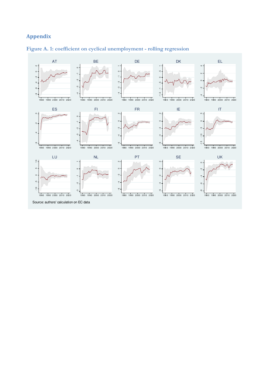# **Appendix**



### Figure A. 1: coefficient on cyclical unemployment - rolling regression

Source: authors' calculation on EC data